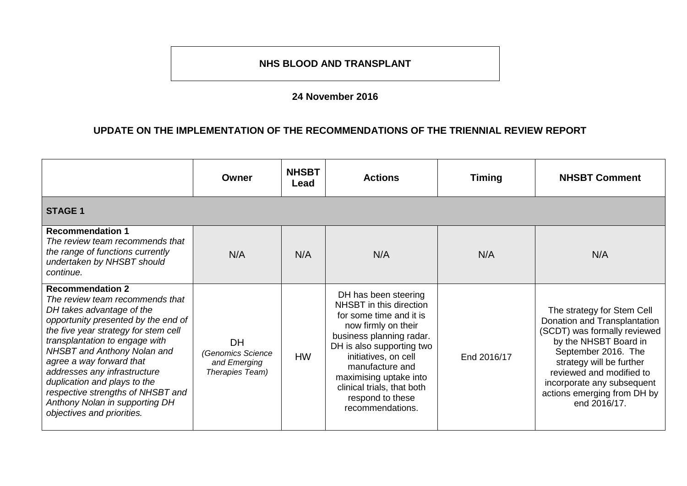## **NHS BLOOD AND TRANSPLANT**

## **24 November 2016**

## **UPDATE ON THE IMPLEMENTATION OF THE RECOMMENDATIONS OF THE TRIENNIAL REVIEW REPORT**

|                                                                                                                                                                                                                                                                                                                                                                                                                                          | Owner                                                             | <b>NHSBT</b><br>Lead | <b>Actions</b>                                                                                                                                                                                                                                                                                        | <b>Timing</b> | <b>NHSBT Comment</b>                                                                                                                                                                                                                                                            |
|------------------------------------------------------------------------------------------------------------------------------------------------------------------------------------------------------------------------------------------------------------------------------------------------------------------------------------------------------------------------------------------------------------------------------------------|-------------------------------------------------------------------|----------------------|-------------------------------------------------------------------------------------------------------------------------------------------------------------------------------------------------------------------------------------------------------------------------------------------------------|---------------|---------------------------------------------------------------------------------------------------------------------------------------------------------------------------------------------------------------------------------------------------------------------------------|
| <b>STAGE 1</b>                                                                                                                                                                                                                                                                                                                                                                                                                           |                                                                   |                      |                                                                                                                                                                                                                                                                                                       |               |                                                                                                                                                                                                                                                                                 |
| <b>Recommendation 1</b><br>The review team recommends that<br>the range of functions currently<br>undertaken by NHSBT should<br>continue.                                                                                                                                                                                                                                                                                                | N/A                                                               | N/A                  | N/A                                                                                                                                                                                                                                                                                                   | N/A           | N/A                                                                                                                                                                                                                                                                             |
| <b>Recommendation 2</b><br>The review team recommends that<br>DH takes advantage of the<br>opportunity presented by the end of<br>the five year strategy for stem cell<br>transplantation to engage with<br>NHSBT and Anthony Nolan and<br>agree a way forward that<br>addresses any infrastructure<br>duplication and plays to the<br>respective strengths of NHSBT and<br>Anthony Nolan in supporting DH<br>objectives and priorities. | <b>DH</b><br>(Genomics Science<br>and Emerging<br>Therapies Team) | <b>HW</b>            | DH has been steering<br>NHSBT in this direction<br>for some time and it is<br>now firmly on their<br>business planning radar.<br>DH is also supporting two<br>initiatives, on cell<br>manufacture and<br>maximising uptake into<br>clinical trials, that both<br>respond to these<br>recommendations. | End 2016/17   | The strategy for Stem Cell<br>Donation and Transplantation<br>(SCDT) was formally reviewed<br>by the NHSBT Board in<br>September 2016. The<br>strategy will be further<br>reviewed and modified to<br>incorporate any subsequent<br>actions emerging from DH by<br>end 2016/17. |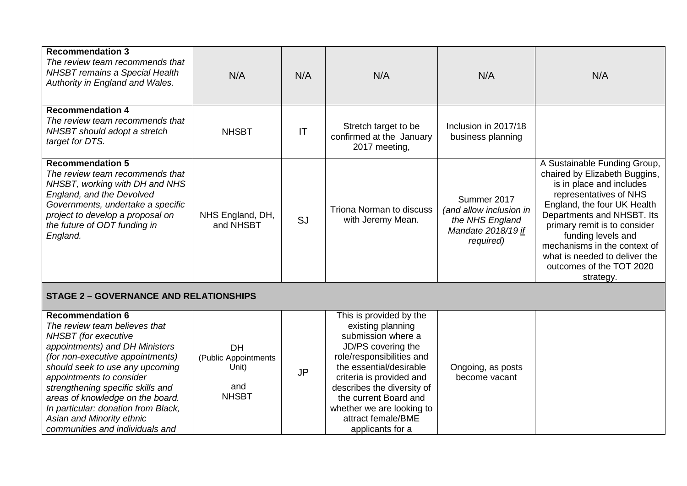| <b>Recommendation 3</b><br>The review team recommends that<br><b>NHSBT</b> remains a Special Health<br>Authority in England and Wales.                                                                                                                                                                                                                                                                | N/A                                                        | N/A                    | N/A                                                                                                                                                                                                                                                                                                        | N/A                                                                                          | N/A                                                                                                                                                                                                                                                                                                                                              |
|-------------------------------------------------------------------------------------------------------------------------------------------------------------------------------------------------------------------------------------------------------------------------------------------------------------------------------------------------------------------------------------------------------|------------------------------------------------------------|------------------------|------------------------------------------------------------------------------------------------------------------------------------------------------------------------------------------------------------------------------------------------------------------------------------------------------------|----------------------------------------------------------------------------------------------|--------------------------------------------------------------------------------------------------------------------------------------------------------------------------------------------------------------------------------------------------------------------------------------------------------------------------------------------------|
| <b>Recommendation 4</b><br>The review team recommends that<br>NHSBT should adopt a stretch<br>target for DTS.                                                                                                                                                                                                                                                                                         | <b>NHSBT</b>                                               | $\mathsf{I}\mathsf{T}$ | Stretch target to be<br>confirmed at the January<br>2017 meeting,                                                                                                                                                                                                                                          | Inclusion in 2017/18<br>business planning                                                    |                                                                                                                                                                                                                                                                                                                                                  |
| <b>Recommendation 5</b><br>The review team recommends that<br>NHSBT, working with DH and NHS<br>England, and the Devolved<br>Governments, undertake a specific<br>project to develop a proposal on<br>the future of ODT funding in<br>England.                                                                                                                                                        | NHS England, DH,<br>and NHSBT                              | SJ                     | Triona Norman to discuss<br>with Jeremy Mean.                                                                                                                                                                                                                                                              | Summer 2017<br>(and allow inclusion in<br>the NHS England<br>Mandate 2018/19 if<br>required) | A Sustainable Funding Group,<br>chaired by Elizabeth Buggins,<br>is in place and includes<br>representatives of NHS<br>England, the four UK Health<br>Departments and NHSBT. Its<br>primary remit is to consider<br>funding levels and<br>mechanisms in the context of<br>what is needed to deliver the<br>outcomes of the TOT 2020<br>strategy. |
| <b>STAGE 2 - GOVERNANCE AND RELATIONSHIPS</b>                                                                                                                                                                                                                                                                                                                                                         |                                                            |                        |                                                                                                                                                                                                                                                                                                            |                                                                                              |                                                                                                                                                                                                                                                                                                                                                  |
| <b>Recommendation 6</b><br>The review team believes that<br>NHSBT (for executive<br>appointments) and DH Ministers<br>(for non-executive appointments)<br>should seek to use any upcoming<br>appointments to consider<br>strengthening specific skills and<br>areas of knowledge on the board.<br>In particular: donation from Black,<br>Asian and Minority ethnic<br>communities and individuals and | DH<br>(Public Appointments<br>Unit)<br>and<br><b>NHSBT</b> | <b>JP</b>              | This is provided by the<br>existing planning<br>submission where a<br>JD/PS covering the<br>role/responsibilities and<br>the essential/desirable<br>criteria is provided and<br>describes the diversity of<br>the current Board and<br>whether we are looking to<br>attract female/BME<br>applicants for a | Ongoing, as posts<br>become vacant                                                           |                                                                                                                                                                                                                                                                                                                                                  |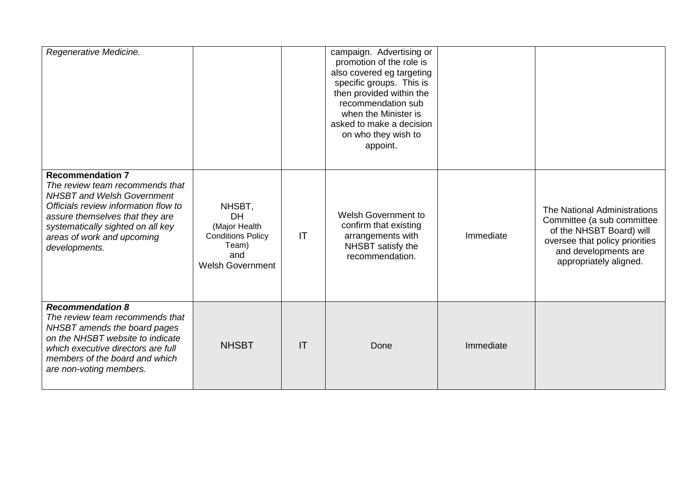| Regenerative Medicine.                                                                                                                                                                                                                                         |                                                                                                             |    | campaign. Advertising or<br>promotion of the role is<br>also covered eg targeting<br>specific groups. This is<br>then provided within the<br>recommendation sub<br>when the Minister is<br>asked to make a decision<br>on who they wish to<br>appoint. |           |                                                                                                                                                                            |
|----------------------------------------------------------------------------------------------------------------------------------------------------------------------------------------------------------------------------------------------------------------|-------------------------------------------------------------------------------------------------------------|----|--------------------------------------------------------------------------------------------------------------------------------------------------------------------------------------------------------------------------------------------------------|-----------|----------------------------------------------------------------------------------------------------------------------------------------------------------------------------|
| <b>Recommendation 7</b><br>The review team recommends that<br><b>NHSBT and Welsh Government</b><br>Officials review information flow to<br>assure themselves that they are<br>systematically sighted on all key<br>areas of work and upcoming<br>developments. | NHSBT,<br><b>DH</b><br>(Major Health<br><b>Conditions Policy</b><br>Team)<br>and<br><b>Welsh Government</b> | IT | <b>Welsh Government to</b><br>confirm that existing<br>arrangements with<br>NHSBT satisfy the<br>recommendation.                                                                                                                                       | Immediate | The National Administrations<br>Committee (a sub committee<br>of the NHSBT Board) will<br>oversee that policy priorities<br>and developments are<br>appropriately aligned. |
| <b>Recommendation 8</b><br>The review team recommends that<br>NHSBT amends the board pages<br>on the NHSBT website to indicate<br>which executive directors are full<br>members of the board and which<br>are non-voting members.                              | <b>NHSBT</b>                                                                                                | IT | Done                                                                                                                                                                                                                                                   | Immediate |                                                                                                                                                                            |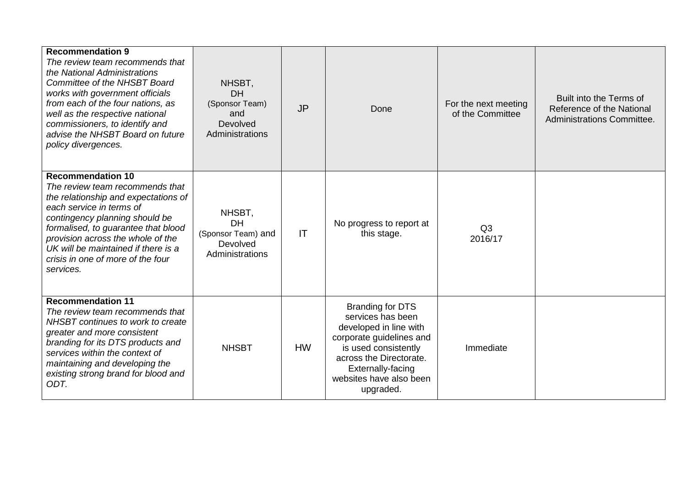| <b>Recommendation 9</b><br>The review team recommends that<br>the National Administrations<br>Committee of the NHSBT Board<br>works with government officials<br>from each of the four nations, as<br>well as the respective national<br>commissioners, to identify and<br>advise the NHSBT Board on future<br>policy divergences.     | NHSBT,<br><b>DH</b><br>(Sponsor Team)<br>and<br>Devolved<br>Administrations | <b>JP</b> | Done                                                                                                                                                                                                               | For the next meeting<br>of the Committee | Built into the Terms of<br>Reference of the National<br>Administrations Committee. |
|----------------------------------------------------------------------------------------------------------------------------------------------------------------------------------------------------------------------------------------------------------------------------------------------------------------------------------------|-----------------------------------------------------------------------------|-----------|--------------------------------------------------------------------------------------------------------------------------------------------------------------------------------------------------------------------|------------------------------------------|------------------------------------------------------------------------------------|
| <b>Recommendation 10</b><br>The review team recommends that<br>the relationship and expectations of<br>each service in terms of<br>contingency planning should be<br>formalised, to guarantee that blood<br>provision across the whole of the<br>UK will be maintained if there is a<br>crisis in one of more of the four<br>services. | NHSBT,<br><b>DH</b><br>(Sponsor Team) and<br>Devolved<br>Administrations    | IT        | No progress to report at<br>this stage.                                                                                                                                                                            | Q <sub>3</sub><br>2016/17                |                                                                                    |
| <b>Recommendation 11</b><br>The review team recommends that<br>NHSBT continues to work to create<br>greater and more consistent<br>branding for its DTS products and<br>services within the context of<br>maintaining and developing the<br>existing strong brand for blood and<br>ODT.                                                | <b>NHSBT</b>                                                                | <b>HW</b> | <b>Branding for DTS</b><br>services has been<br>developed in line with<br>corporate guidelines and<br>is used consistently<br>across the Directorate.<br>Externally-facing<br>websites have also been<br>upgraded. | Immediate                                |                                                                                    |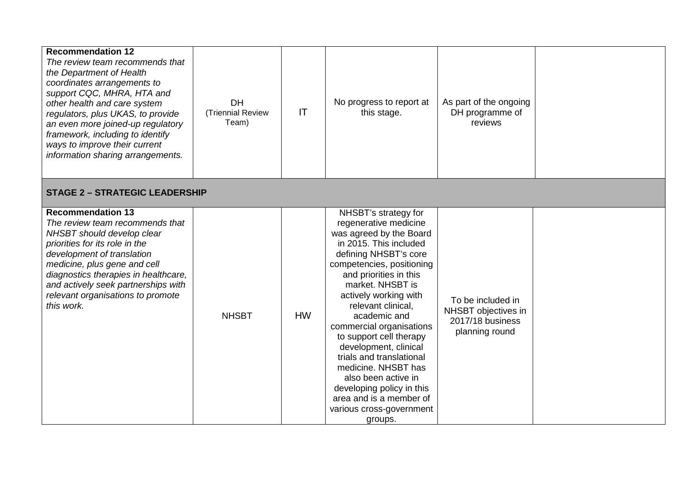| <b>Recommendation 12</b><br>The review team recommends that<br>the Department of Health<br>coordinates arrangements to<br>support CQC, MHRA, HTA and<br>other health and care system<br>regulators, plus UKAS, to provide                                                                                                   | DH<br>(Triennial Review               | IT        | No progress to report at<br>this stage.                                                                                                                                                                                                                                                                                                                                                                                                                                                                                        | As part of the ongoing<br>DH programme of                                      |  |  |  |  |
|-----------------------------------------------------------------------------------------------------------------------------------------------------------------------------------------------------------------------------------------------------------------------------------------------------------------------------|---------------------------------------|-----------|--------------------------------------------------------------------------------------------------------------------------------------------------------------------------------------------------------------------------------------------------------------------------------------------------------------------------------------------------------------------------------------------------------------------------------------------------------------------------------------------------------------------------------|--------------------------------------------------------------------------------|--|--|--|--|
| an even more joined-up regulatory<br>framework, including to identify<br>ways to improve their current<br>information sharing arrangements.                                                                                                                                                                                 | Team)                                 |           |                                                                                                                                                                                                                                                                                                                                                                                                                                                                                                                                | reviews                                                                        |  |  |  |  |
|                                                                                                                                                                                                                                                                                                                             | <b>STAGE 2 - STRATEGIC LEADERSHIP</b> |           |                                                                                                                                                                                                                                                                                                                                                                                                                                                                                                                                |                                                                                |  |  |  |  |
| <b>Recommendation 13</b><br>The review team recommends that<br>NHSBT should develop clear<br>priorities for its role in the<br>development of translation<br>medicine, plus gene and cell<br>diagnostics therapies in healthcare,<br>and actively seek partnerships with<br>relevant organisations to promote<br>this work. | <b>NHSBT</b>                          | <b>HW</b> | NHSBT's strategy for<br>regenerative medicine<br>was agreed by the Board<br>in 2015. This included<br>defining NHSBT's core<br>competencies, positioning<br>and priorities in this<br>market. NHSBT is<br>actively working with<br>relevant clinical,<br>academic and<br>commercial organisations<br>to support cell therapy<br>development, clinical<br>trials and translational<br>medicine. NHSBT has<br>also been active in<br>developing policy in this<br>area and is a member of<br>various cross-government<br>groups. | To be included in<br>NHSBT objectives in<br>2017/18 business<br>planning round |  |  |  |  |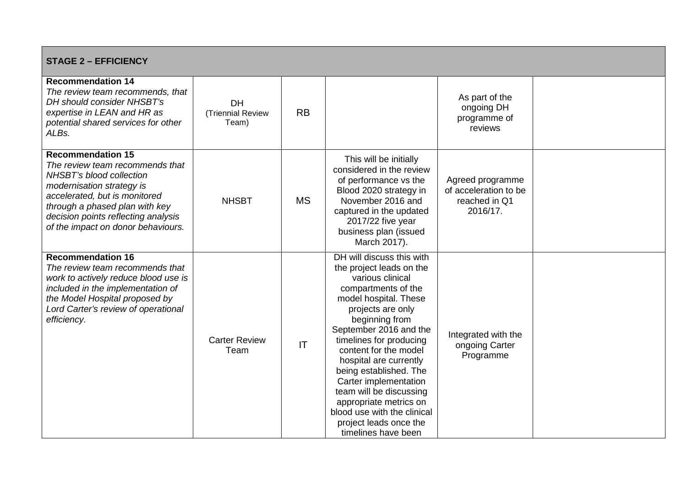| <b>STAGE 2 - EFFICIENCY</b>                                                                                                                                                                                                                                          |                                         |                        |                                                                                                                                                                                                                                                                                                                                                                                                                                                                  |                                                                        |  |  |
|----------------------------------------------------------------------------------------------------------------------------------------------------------------------------------------------------------------------------------------------------------------------|-----------------------------------------|------------------------|------------------------------------------------------------------------------------------------------------------------------------------------------------------------------------------------------------------------------------------------------------------------------------------------------------------------------------------------------------------------------------------------------------------------------------------------------------------|------------------------------------------------------------------------|--|--|
| <b>Recommendation 14</b><br>The review team recommends, that<br>DH should consider NHSBT's<br>expertise in LEAN and HR as<br>potential shared services for other<br>ALBs.                                                                                            | <b>DH</b><br>(Triennial Review<br>Team) | <b>RB</b>              |                                                                                                                                                                                                                                                                                                                                                                                                                                                                  | As part of the<br>ongoing DH<br>programme of<br>reviews                |  |  |
| <b>Recommendation 15</b><br>The review team recommends that<br>NHSBT's blood collection<br>modernisation strategy is<br>accelerated, but is monitored<br>through a phased plan with key<br>decision points reflecting analysis<br>of the impact on donor behaviours. | <b>NHSBT</b>                            | <b>MS</b>              | This will be initially<br>considered in the review<br>of performance vs the<br>Blood 2020 strategy in<br>November 2016 and<br>captured in the updated<br>2017/22 five year<br>business plan (issued<br>March 2017).                                                                                                                                                                                                                                              | Agreed programme<br>of acceleration to be<br>reached in Q1<br>2016/17. |  |  |
| <b>Recommendation 16</b><br>The review team recommends that<br>work to actively reduce blood use is<br>included in the implementation of<br>the Model Hospital proposed by<br>Lord Carter's review of operational<br>efficiency.                                     | <b>Carter Review</b><br>Team            | $\mathsf{I}\mathsf{T}$ | DH will discuss this with<br>the project leads on the<br>various clinical<br>compartments of the<br>model hospital. These<br>projects are only<br>beginning from<br>September 2016 and the<br>timelines for producing<br>content for the model<br>hospital are currently<br>being established. The<br>Carter implementation<br>team will be discussing<br>appropriate metrics on<br>blood use with the clinical<br>project leads once the<br>timelines have been | Integrated with the<br>ongoing Carter<br>Programme                     |  |  |